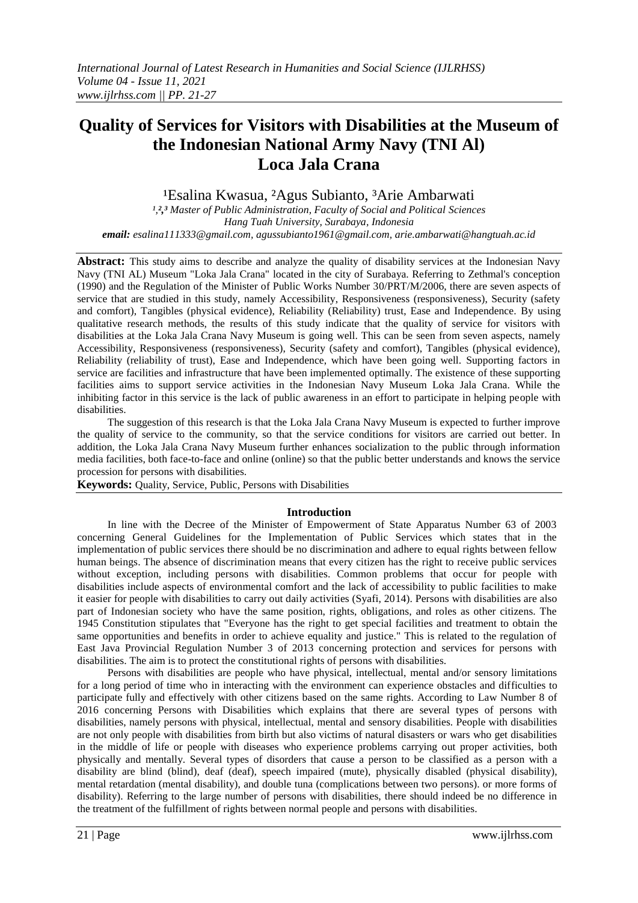# **Quality of Services for Visitors with Disabilities at the Museum of the Indonesian National Army Navy (TNI Al) Loca Jala Crana**

<sup>1</sup>Esalina Kwasua, <sup>2</sup>Agus Subianto, <sup>3</sup>Arie Ambarwati

*¹,²,³ Master of Public Administration, Faculty of Social and Political Sciences Hang Tuah University, Surabaya, Indonesia email: [esalina111333@gmail.com,](mailto:esalina111333@gmail.com) [agussubianto1961@gmail.com,](mailto:agussubianto1961@gmail.com) arie.ambarwati@hangtuah.ac.id*

**Abstract:** This study aims to describe and analyze the quality of disability services at the Indonesian Navy Navy (TNI AL) Museum "Loka Jala Crana" located in the city of Surabaya. Referring to Zethmal's conception (1990) and the Regulation of the Minister of Public Works Number 30/PRT/M/2006, there are seven aspects of service that are studied in this study, namely Accessibility, Responsiveness (responsiveness), Security (safety and comfort), Tangibles (physical evidence), Reliability (Reliability) trust, Ease and Independence. By using qualitative research methods, the results of this study indicate that the quality of service for visitors with disabilities at the Loka Jala Crana Navy Museum is going well. This can be seen from seven aspects, namely Accessibility, Responsiveness (responsiveness), Security (safety and comfort), Tangibles (physical evidence), Reliability (reliability of trust), Ease and Independence, which have been going well. Supporting factors in service are facilities and infrastructure that have been implemented optimally. The existence of these supporting facilities aims to support service activities in the Indonesian Navy Museum Loka Jala Crana. While the inhibiting factor in this service is the lack of public awareness in an effort to participate in helping people with disabilities.

The suggestion of this research is that the Loka Jala Crana Navy Museum is expected to further improve the quality of service to the community, so that the service conditions for visitors are carried out better. In addition, the Loka Jala Crana Navy Museum further enhances socialization to the public through information media facilities, both face-to-face and online (online) so that the public better understands and knows the service procession for persons with disabilities.

**Keywords:** Quality, Service, Public, Persons with Disabilities

#### **Introduction**

In line with the Decree of the Minister of Empowerment of State Apparatus Number 63 of 2003 concerning General Guidelines for the Implementation of Public Services which states that in the implementation of public services there should be no discrimination and adhere to equal rights between fellow human beings. The absence of discrimination means that every citizen has the right to receive public services without exception, including persons with disabilities. Common problems that occur for people with disabilities include aspects of environmental comfort and the lack of accessibility to public facilities to make it easier for people with disabilities to carry out daily activities (Syafi, 2014). Persons with disabilities are also part of Indonesian society who have the same position, rights, obligations, and roles as other citizens. The 1945 Constitution stipulates that "Everyone has the right to get special facilities and treatment to obtain the same opportunities and benefits in order to achieve equality and justice." This is related to the regulation of East Java Provincial Regulation Number 3 of 2013 concerning protection and services for persons with disabilities. The aim is to protect the constitutional rights of persons with disabilities.

Persons with disabilities are people who have physical, intellectual, mental and/or sensory limitations for a long period of time who in interacting with the environment can experience obstacles and difficulties to participate fully and effectively with other citizens based on the same rights. According to Law Number 8 of 2016 concerning Persons with Disabilities which explains that there are several types of persons with disabilities, namely persons with physical, intellectual, mental and sensory disabilities. People with disabilities are not only people with disabilities from birth but also victims of natural disasters or wars who get disabilities in the middle of life or people with diseases who experience problems carrying out proper activities, both physically and mentally. Several types of disorders that cause a person to be classified as a person with a disability are blind (blind), deaf (deaf), speech impaired (mute), physically disabled (physical disability), mental retardation (mental disability), and double tuna (complications between two persons). or more forms of disability). Referring to the large number of persons with disabilities, there should indeed be no difference in the treatment of the fulfillment of rights between normal people and persons with disabilities.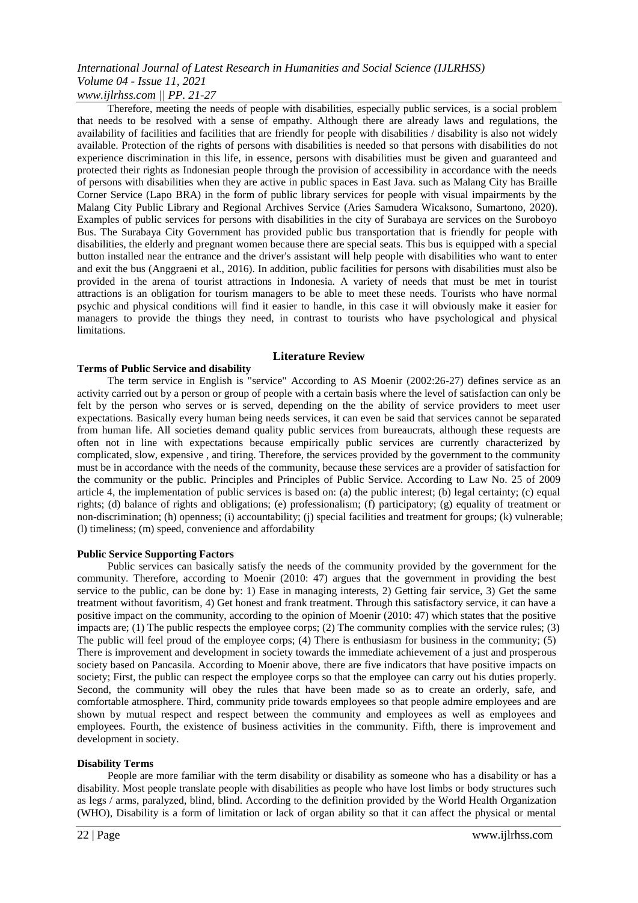*www.ijlrhss.com || PP. 21-27*

Therefore, meeting the needs of people with disabilities, especially public services, is a social problem that needs to be resolved with a sense of empathy. Although there are already laws and regulations, the availability of facilities and facilities that are friendly for people with disabilities / disability is also not widely available. Protection of the rights of persons with disabilities is needed so that persons with disabilities do not experience discrimination in this life, in essence, persons with disabilities must be given and guaranteed and protected their rights as Indonesian people through the provision of accessibility in accordance with the needs of persons with disabilities when they are active in public spaces in East Java. such as Malang City has Braille Corner Service (Lapo BRA) in the form of public library services for people with visual impairments by the Malang City Public Library and Regional Archives Service (Aries Samudera Wicaksono, Sumartono, 2020). Examples of public services for persons with disabilities in the city of Surabaya are services on the Suroboyo Bus. The Surabaya City Government has provided public bus transportation that is friendly for people with disabilities, the elderly and pregnant women because there are special seats. This bus is equipped with a special button installed near the entrance and the driver's assistant will help people with disabilities who want to enter and exit the bus (Anggraeni et al., 2016). In addition, public facilities for persons with disabilities must also be provided in the arena of tourist attractions in Indonesia. A variety of needs that must be met in tourist attractions is an obligation for tourism managers to be able to meet these needs. Tourists who have normal psychic and physical conditions will find it easier to handle, in this case it will obviously make it easier for managers to provide the things they need, in contrast to tourists who have psychological and physical limitations.

#### **Literature Review**

#### **Terms of Public Service and disability**

The term service in English is "service" According to AS Moenir (2002:26-27) defines service as an activity carried out by a person or group of people with a certain basis where the level of satisfaction can only be felt by the person who serves or is served, depending on the the ability of service providers to meet user expectations. Basically every human being needs services, it can even be said that services cannot be separated from human life. All societies demand quality public services from bureaucrats, although these requests are often not in line with expectations because empirically public services are currently characterized by complicated, slow, expensive , and tiring. Therefore, the services provided by the government to the community must be in accordance with the needs of the community, because these services are a provider of satisfaction for the community or the public. Principles and Principles of Public Service. According to Law No. 25 of 2009 article 4, the implementation of public services is based on: (a) the public interest; (b) legal certainty; (c) equal rights; (d) balance of rights and obligations; (e) professionalism; (f) participatory; (g) equality of treatment or non-discrimination; (h) openness; (i) accountability; (j) special facilities and treatment for groups; (k) vulnerable; (l) timeliness; (m) speed, convenience and affordability

#### **Public Service Supporting Factors**

Public services can basically satisfy the needs of the community provided by the government for the community. Therefore, according to Moenir (2010: 47) argues that the government in providing the best service to the public, can be done by: 1) Ease in managing interests, 2) Getting fair service, 3) Get the same treatment without favoritism, 4) Get honest and frank treatment. Through this satisfactory service, it can have a positive impact on the community, according to the opinion of Moenir (2010: 47) which states that the positive impacts are; (1) The public respects the employee corps; (2) The community complies with the service rules; (3) The public will feel proud of the employee corps; (4) There is enthusiasm for business in the community; (5) There is improvement and development in society towards the immediate achievement of a just and prosperous society based on Pancasila. According to Moenir above, there are five indicators that have positive impacts on society; First, the public can respect the employee corps so that the employee can carry out his duties properly. Second, the community will obey the rules that have been made so as to create an orderly, safe, and comfortable atmosphere. Third, community pride towards employees so that people admire employees and are shown by mutual respect and respect between the community and employees as well as employees and employees. Fourth, the existence of business activities in the community. Fifth, there is improvement and development in society.

#### **Disability Terms**

People are more familiar with the term disability or disability as someone who has a disability or has a disability. Most people translate people with disabilities as people who have lost limbs or body structures such as legs / arms, paralyzed, blind, blind. According to the definition provided by the World Health Organization (WHO), Disability is a form of limitation or lack of organ ability so that it can affect the physical or mental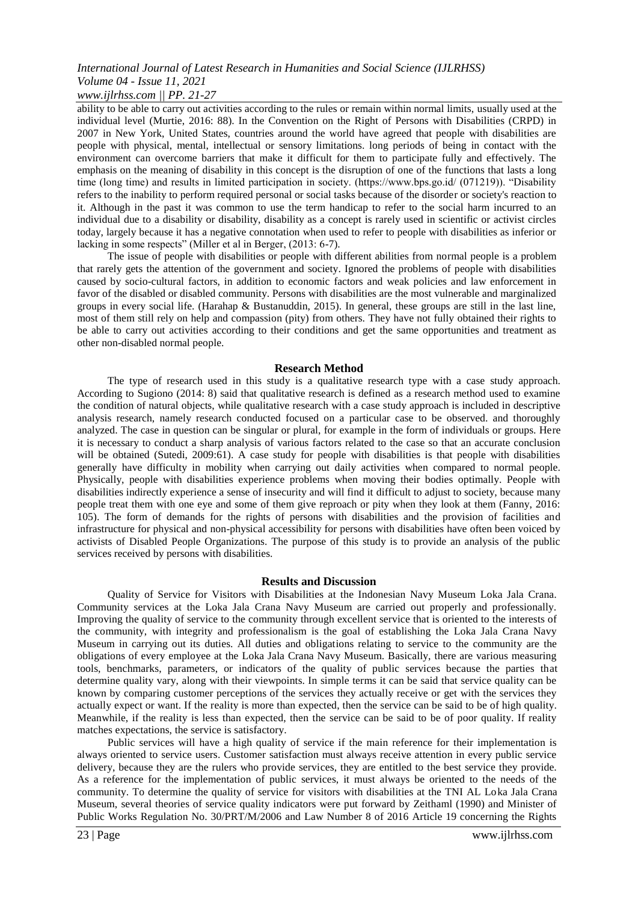#### *www.ijlrhss.com || PP. 21-27*

ability to be able to carry out activities according to the rules or remain within normal limits, usually used at the individual level (Murtie, 2016: 88). In the Convention on the Right of Persons with Disabilities (CRPD) in 2007 in New York, United States, countries around the world have agreed that people with disabilities are people with physical, mental, intellectual or sensory limitations. long periods of being in contact with the environment can overcome barriers that make it difficult for them to participate fully and effectively. The emphasis on the meaning of disability in this concept is the disruption of one of the functions that lasts a long time (long time) and results in limited participation in society. (https://www.bps.go.id/ (071219)). "Disability refers to the inability to perform required personal or social tasks because of the disorder or society's reaction to it. Although in the past it was common to use the term handicap to refer to the social harm incurred to an individual due to a disability or disability, disability as a concept is rarely used in scientific or activist circles today, largely because it has a negative connotation when used to refer to people with disabilities as inferior or lacking in some respects" (Miller et al in Berger, (2013: 6-7).

The issue of people with disabilities or people with different abilities from normal people is a problem that rarely gets the attention of the government and society. Ignored the problems of people with disabilities caused by socio-cultural factors, in addition to economic factors and weak policies and law enforcement in favor of the disabled or disabled community. Persons with disabilities are the most vulnerable and marginalized groups in every social life. (Harahap & Bustanuddin, 2015). In general, these groups are still in the last line, most of them still rely on help and compassion (pity) from others. They have not fully obtained their rights to be able to carry out activities according to their conditions and get the same opportunities and treatment as other non-disabled normal people.

#### **Research Method**

The type of research used in this study is a qualitative research type with a case study approach. According to Sugiono (2014: 8) said that qualitative research is defined as a research method used to examine the condition of natural objects, while qualitative research with a case study approach is included in descriptive analysis research, namely research conducted focused on a particular case to be observed. and thoroughly analyzed. The case in question can be singular or plural, for example in the form of individuals or groups. Here it is necessary to conduct a sharp analysis of various factors related to the case so that an accurate conclusion will be obtained (Sutedi, 2009:61). A case study for people with disabilities is that people with disabilities generally have difficulty in mobility when carrying out daily activities when compared to normal people. Physically, people with disabilities experience problems when moving their bodies optimally. People with disabilities indirectly experience a sense of insecurity and will find it difficult to adjust to society, because many people treat them with one eye and some of them give reproach or pity when they look at them (Fanny, 2016: 105). The form of demands for the rights of persons with disabilities and the provision of facilities and infrastructure for physical and non-physical accessibility for persons with disabilities have often been voiced by activists of Disabled People Organizations. The purpose of this study is to provide an analysis of the public services received by persons with disabilities.

#### **Results and Discussion**

Quality of Service for Visitors with Disabilities at the Indonesian Navy Museum Loka Jala Crana. Community services at the Loka Jala Crana Navy Museum are carried out properly and professionally. Improving the quality of service to the community through excellent service that is oriented to the interests of the community, with integrity and professionalism is the goal of establishing the Loka Jala Crana Navy Museum in carrying out its duties. All duties and obligations relating to service to the community are the obligations of every employee at the Loka Jala Crana Navy Museum. Basically, there are various measuring tools, benchmarks, parameters, or indicators of the quality of public services because the parties that determine quality vary, along with their viewpoints. In simple terms it can be said that service quality can be known by comparing customer perceptions of the services they actually receive or get with the services they actually expect or want. If the reality is more than expected, then the service can be said to be of high quality. Meanwhile, if the reality is less than expected, then the service can be said to be of poor quality. If reality matches expectations, the service is satisfactory.

Public services will have a high quality of service if the main reference for their implementation is always oriented to service users. Customer satisfaction must always receive attention in every public service delivery, because they are the rulers who provide services, they are entitled to the best service they provide. As a reference for the implementation of public services, it must always be oriented to the needs of the community. To determine the quality of service for visitors with disabilities at the TNI AL Loka Jala Crana Museum, several theories of service quality indicators were put forward by Zeithaml (1990) and Minister of Public Works Regulation No. 30/PRT/M/2006 and Law Number 8 of 2016 Article 19 concerning the Rights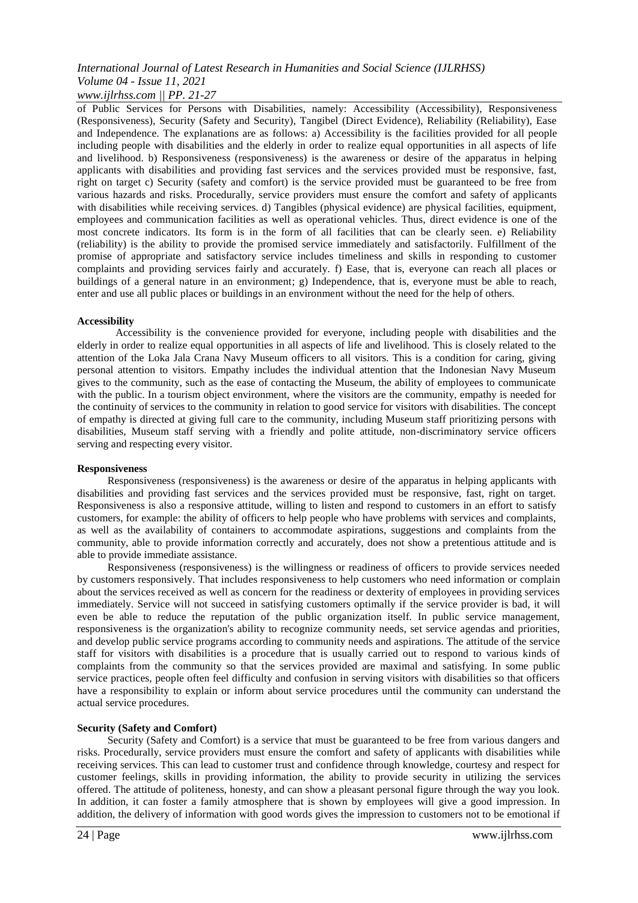### *www.ijlrhss.com || PP. 21-27*

of Public Services for Persons with Disabilities, namely: Accessibility (Accessibility), Responsiveness (Responsiveness), Security (Safety and Security), Tangibel (Direct Evidence), Reliability (Reliability), Ease and Independence. The explanations are as follows: a) Accessibility is the facilities provided for all people including people with disabilities and the elderly in order to realize equal opportunities in all aspects of life and livelihood. b) Responsiveness (responsiveness) is the awareness or desire of the apparatus in helping applicants with disabilities and providing fast services and the services provided must be responsive, fast, right on target c) Security (safety and comfort) is the service provided must be guaranteed to be free from various hazards and risks. Procedurally, service providers must ensure the comfort and safety of applicants with disabilities while receiving services. d) Tangibles (physical evidence) are physical facilities, equipment, employees and communication facilities as well as operational vehicles. Thus, direct evidence is one of the most concrete indicators. Its form is in the form of all facilities that can be clearly seen. e) Reliability (reliability) is the ability to provide the promised service immediately and satisfactorily. Fulfillment of the promise of appropriate and satisfactory service includes timeliness and skills in responding to customer complaints and providing services fairly and accurately. f) Ease, that is, everyone can reach all places or buildings of a general nature in an environment; g) Independence, that is, everyone must be able to reach, enter and use all public places or buildings in an environment without the need for the help of others.

#### **Accessibility**

Accessibility is the convenience provided for everyone, including people with disabilities and the elderly in order to realize equal opportunities in all aspects of life and livelihood. This is closely related to the attention of the Loka Jala Crana Navy Museum officers to all visitors. This is a condition for caring, giving personal attention to visitors. Empathy includes the individual attention that the Indonesian Navy Museum gives to the community, such as the ease of contacting the Museum, the ability of employees to communicate with the public. In a tourism object environment, where the visitors are the community, empathy is needed for the continuity of services to the community in relation to good service for visitors with disabilities. The concept of empathy is directed at giving full care to the community, including Museum staff prioritizing persons with disabilities, Museum staff serving with a friendly and polite attitude, non-discriminatory service officers serving and respecting every visitor.

#### **Responsiveness**

Responsiveness (responsiveness) is the awareness or desire of the apparatus in helping applicants with disabilities and providing fast services and the services provided must be responsive, fast, right on target. Responsiveness is also a responsive attitude, willing to listen and respond to customers in an effort to satisfy customers, for example: the ability of officers to help people who have problems with services and complaints, as well as the availability of containers to accommodate aspirations, suggestions and complaints from the community, able to provide information correctly and accurately, does not show a pretentious attitude and is able to provide immediate assistance.

Responsiveness (responsiveness) is the willingness or readiness of officers to provide services needed by customers responsively. That includes responsiveness to help customers who need information or complain about the services received as well as concern for the readiness or dexterity of employees in providing services immediately. Service will not succeed in satisfying customers optimally if the service provider is bad, it will even be able to reduce the reputation of the public organization itself. In public service management, responsiveness is the organization's ability to recognize community needs, set service agendas and priorities, and develop public service programs according to community needs and aspirations. The attitude of the service staff for visitors with disabilities is a procedure that is usually carried out to respond to various kinds of complaints from the community so that the services provided are maximal and satisfying. In some public service practices, people often feel difficulty and confusion in serving visitors with disabilities so that officers have a responsibility to explain or inform about service procedures until the community can understand the actual service procedures.

#### **Security (Safety and Comfort)**

Security (Safety and Comfort) is a service that must be guaranteed to be free from various dangers and risks. Procedurally, service providers must ensure the comfort and safety of applicants with disabilities while receiving services. This can lead to customer trust and confidence through knowledge, courtesy and respect for customer feelings, skills in providing information, the ability to provide security in utilizing the services offered. The attitude of politeness, honesty, and can show a pleasant personal figure through the way you look. In addition, it can foster a family atmosphere that is shown by employees will give a good impression. In addition, the delivery of information with good words gives the impression to customers not to be emotional if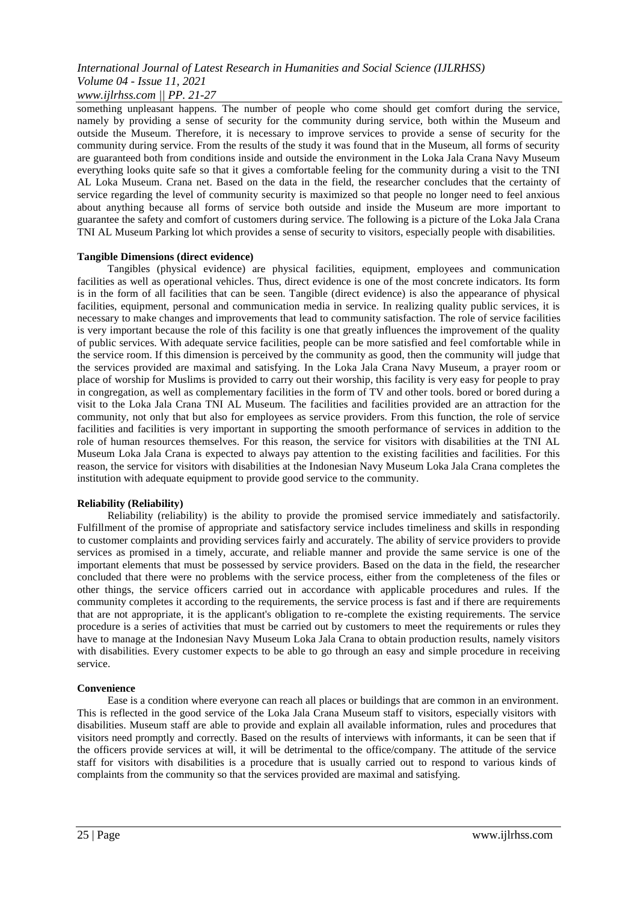#### *www.ijlrhss.com || PP. 21-27*

something unpleasant happens. The number of people who come should get comfort during the service, namely by providing a sense of security for the community during service, both within the Museum and outside the Museum. Therefore, it is necessary to improve services to provide a sense of security for the community during service. From the results of the study it was found that in the Museum, all forms of security are guaranteed both from conditions inside and outside the environment in the Loka Jala Crana Navy Museum everything looks quite safe so that it gives a comfortable feeling for the community during a visit to the TNI AL Loka Museum. Crana net. Based on the data in the field, the researcher concludes that the certainty of service regarding the level of community security is maximized so that people no longer need to feel anxious about anything because all forms of service both outside and inside the Museum are more important to guarantee the safety and comfort of customers during service. The following is a picture of the Loka Jala Crana TNI AL Museum Parking lot which provides a sense of security to visitors, especially people with disabilities.

#### **Tangible Dimensions (direct evidence)**

Tangibles (physical evidence) are physical facilities, equipment, employees and communication facilities as well as operational vehicles. Thus, direct evidence is one of the most concrete indicators. Its form is in the form of all facilities that can be seen. Tangible (direct evidence) is also the appearance of physical facilities, equipment, personal and communication media in service. In realizing quality public services, it is necessary to make changes and improvements that lead to community satisfaction. The role of service facilities is very important because the role of this facility is one that greatly influences the improvement of the quality of public services. With adequate service facilities, people can be more satisfied and feel comfortable while in the service room. If this dimension is perceived by the community as good, then the community will judge that the services provided are maximal and satisfying. In the Loka Jala Crana Navy Museum, a prayer room or place of worship for Muslims is provided to carry out their worship, this facility is very easy for people to pray in congregation, as well as complementary facilities in the form of TV and other tools. bored or bored during a visit to the Loka Jala Crana TNI AL Museum. The facilities and facilities provided are an attraction for the community, not only that but also for employees as service providers. From this function, the role of service facilities and facilities is very important in supporting the smooth performance of services in addition to the role of human resources themselves. For this reason, the service for visitors with disabilities at the TNI AL Museum Loka Jala Crana is expected to always pay attention to the existing facilities and facilities. For this reason, the service for visitors with disabilities at the Indonesian Navy Museum Loka Jala Crana completes the institution with adequate equipment to provide good service to the community.

#### **Reliability (Reliability)**

Reliability (reliability) is the ability to provide the promised service immediately and satisfactorily. Fulfillment of the promise of appropriate and satisfactory service includes timeliness and skills in responding to customer complaints and providing services fairly and accurately. The ability of service providers to provide services as promised in a timely, accurate, and reliable manner and provide the same service is one of the important elements that must be possessed by service providers. Based on the data in the field, the researcher concluded that there were no problems with the service process, either from the completeness of the files or other things, the service officers carried out in accordance with applicable procedures and rules. If the community completes it according to the requirements, the service process is fast and if there are requirements that are not appropriate, it is the applicant's obligation to re-complete the existing requirements. The service procedure is a series of activities that must be carried out by customers to meet the requirements or rules they have to manage at the Indonesian Navy Museum Loka Jala Crana to obtain production results, namely visitors with disabilities. Every customer expects to be able to go through an easy and simple procedure in receiving service.

#### **Convenience**

Ease is a condition where everyone can reach all places or buildings that are common in an environment. This is reflected in the good service of the Loka Jala Crana Museum staff to visitors, especially visitors with disabilities. Museum staff are able to provide and explain all available information, rules and procedures that visitors need promptly and correctly. Based on the results of interviews with informants, it can be seen that if the officers provide services at will, it will be detrimental to the office/company. The attitude of the service staff for visitors with disabilities is a procedure that is usually carried out to respond to various kinds of complaints from the community so that the services provided are maximal and satisfying.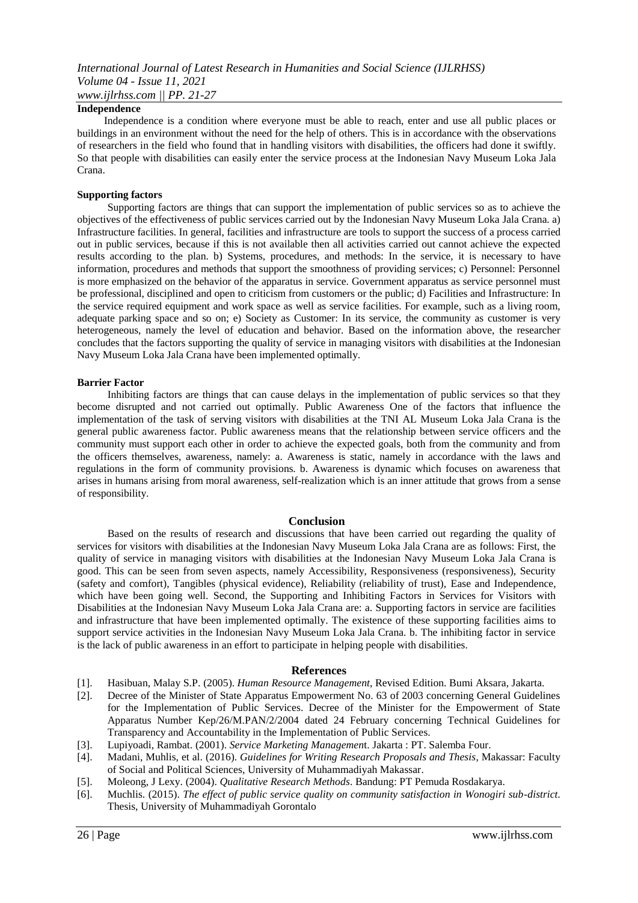#### **Independence**

 Independence is a condition where everyone must be able to reach, enter and use all public places or buildings in an environment without the need for the help of others. This is in accordance with the observations of researchers in the field who found that in handling visitors with disabilities, the officers had done it swiftly. So that people with disabilities can easily enter the service process at the Indonesian Navy Museum Loka Jala Crana.

#### **Supporting factors**

Supporting factors are things that can support the implementation of public services so as to achieve the objectives of the effectiveness of public services carried out by the Indonesian Navy Museum Loka Jala Crana. a) Infrastructure facilities. In general, facilities and infrastructure are tools to support the success of a process carried out in public services, because if this is not available then all activities carried out cannot achieve the expected results according to the plan. b) Systems, procedures, and methods: In the service, it is necessary to have information, procedures and methods that support the smoothness of providing services; c) Personnel: Personnel is more emphasized on the behavior of the apparatus in service. Government apparatus as service personnel must be professional, disciplined and open to criticism from customers or the public; d) Facilities and Infrastructure: In the service required equipment and work space as well as service facilities. For example, such as a living room, adequate parking space and so on; e) Society as Customer: In its service, the community as customer is very heterogeneous, namely the level of education and behavior. Based on the information above, the researcher concludes that the factors supporting the quality of service in managing visitors with disabilities at the Indonesian Navy Museum Loka Jala Crana have been implemented optimally.

#### **Barrier Factor**

Inhibiting factors are things that can cause delays in the implementation of public services so that they become disrupted and not carried out optimally. Public Awareness One of the factors that influence the implementation of the task of serving visitors with disabilities at the TNI AL Museum Loka Jala Crana is the general public awareness factor. Public awareness means that the relationship between service officers and the community must support each other in order to achieve the expected goals, both from the community and from the officers themselves, awareness, namely: a. Awareness is static, namely in accordance with the laws and regulations in the form of community provisions. b. Awareness is dynamic which focuses on awareness that arises in humans arising from moral awareness, self-realization which is an inner attitude that grows from a sense of responsibility.

#### **Conclusion**

Based on the results of research and discussions that have been carried out regarding the quality of services for visitors with disabilities at the Indonesian Navy Museum Loka Jala Crana are as follows: First, the quality of service in managing visitors with disabilities at the Indonesian Navy Museum Loka Jala Crana is good. This can be seen from seven aspects, namely Accessibility, Responsiveness (responsiveness), Security (safety and comfort), Tangibles (physical evidence), Reliability (reliability of trust), Ease and Independence, which have been going well. Second, the Supporting and Inhibiting Factors in Services for Visitors with Disabilities at the Indonesian Navy Museum Loka Jala Crana are: a. Supporting factors in service are facilities and infrastructure that have been implemented optimally. The existence of these supporting facilities aims to support service activities in the Indonesian Navy Museum Loka Jala Crana. b. The inhibiting factor in service is the lack of public awareness in an effort to participate in helping people with disabilities.

#### **References**

- [1]. Hasibuan, Malay S.P. (2005). *Human Resource Management*, Revised Edition. Bumi Aksara, Jakarta.
- [2]. Decree of the Minister of State Apparatus Empowerment No. 63 of 2003 concerning General Guidelines for the Implementation of Public Services. Decree of the Minister for the Empowerment of State Apparatus Number Kep/26/M.PAN/2/2004 dated 24 February concerning Technical Guidelines for Transparency and Accountability in the Implementation of Public Services.
- [3]. Lupiyoadi, Rambat. (2001). *Service Marketing Managemen*t. Jakarta : PT. Salemba Four.
- [4]. Madani, Muhlis, et al. (2016). *Guidelines for Writing Research Proposals and Thesis*, Makassar: Faculty of Social and Political Sciences, University of Muhammadiyah Makassar.
- [5]. Moleong, J Lexy. (2004). *Qualitative Research Methods*. Bandung: PT Pemuda Rosdakarya.
- [6]. Muchlis. (2015). *The effect of public service quality on community satisfaction in Wonogiri sub-district.* Thesis, University of Muhammadiyah Gorontalo